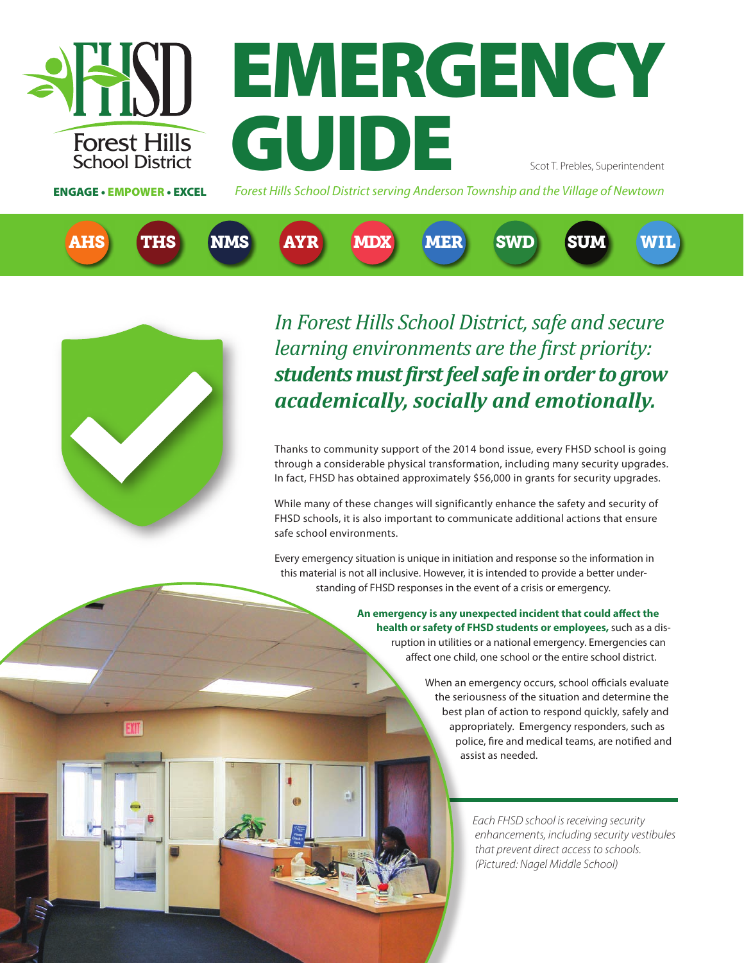

# **EMERGENCY** GUIDE Scot T. Prebles, Superintendent

ENGAGE • EMPOWER • EXCEL

*Forest Hills School District serving Anderson Township and the Village of Newtown*





*In Forest Hills School District, safe and secure learning environments are the first priority: students must first feel safe in order to grow academically, socially and emotionally.* 

Thanks to community support of the 2014 bond issue, every FHSD school is going through a considerable physical transformation, including many security upgrades. In fact, FHSD has obtained approximately \$56,000 in grants for security upgrades.

While many of these changes will significantly enhance the safety and security of FHSD schools, it is also important to communicate additional actions that ensure safe school environments.

Every emergency situation is unique in initiation and response so the information in this material is not all inclusive. However, it is intended to provide a better understanding of FHSD responses in the event of a crisis or emergency.

> **An emergency is any unexpected incident that could affect the health or safety of FHSD students or employees,** such as a disruption in utilities or a national emergency. Emergencies can affect one child, one school or the entire school district.

> > When an emergency occurs, school officials evaluate the seriousness of the situation and determine the best plan of action to respond quickly, safely and appropriately. Emergency responders, such as police, fire and medical teams, are notified and assist as needed.

> > > *Each FHSD school is receiving security enhancements, including security vestibules that prevent direct access to schools. (Pictured: Nagel Middle School)*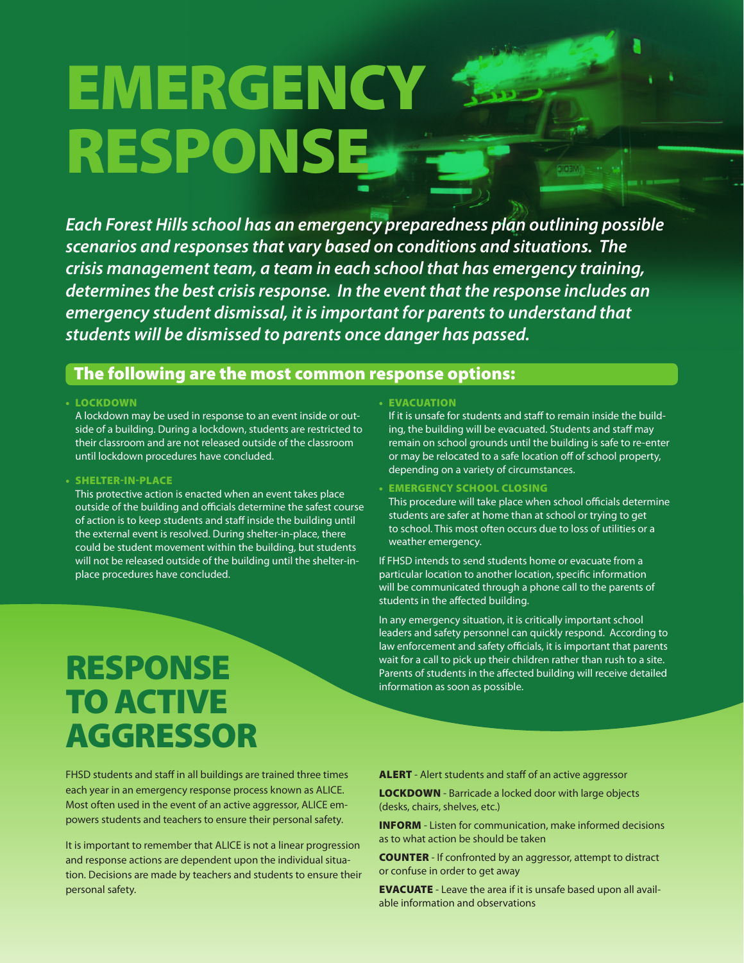# **EMERGENCY** RESPONSE

*Each Forest Hills school has an emergency preparedness plan outlining possible scenarios and responses that vary based on conditions and situations. The crisis management team, a team in each school that has emergency training, determines the best crisis response. In the event that the response includes an emergency student dismissal, it is important for parents to understand that students will be dismissed to parents once danger has passed.* 

#### The following are the most common response options:

#### • LOCKDOWN

A lockdown may be used in response to an event inside or outside of a building. During a lockdown, students are restricted to their classroom and are not released outside of the classroom until lockdown procedures have concluded.

#### • SHELTER-IN-PLACE

This protective action is enacted when an event takes place outside of the building and officials determine the safest course of action is to keep students and staff inside the building until the external event is resolved. During shelter-in-place, there could be student movement within the building, but students will not be released outside of the building until the shelter-inplace procedures have concluded.

## RESPONSE TO ACTIVE AGGRESSOR

FHSD students and staff in all buildings are trained three times each year in an emergency response process known as ALICE. Most often used in the event of an active aggressor, ALICE empowers students and teachers to ensure their personal safety.

It is important to remember that ALICE is not a linear progression and response actions are dependent upon the individual situation. Decisions are made by teachers and students to ensure their personal safety.

#### • EVACUATION

If it is unsafe for students and staff to remain inside the building, the building will be evacuated. Students and staff may remain on school grounds until the building is safe to re-enter or may be relocated to a safe location off of school property, depending on a variety of circumstances.

#### • EMERGENCY SCHOOL CLOSING

This procedure will take place when school officials determine students are safer at home than at school or trying to get to school. This most often occurs due to loss of utilities or a weather emergency.

If FHSD intends to send students home or evacuate from a particular location to another location, specific information will be communicated through a phone call to the parents of students in the affected building.

In any emergency situation, it is critically important school leaders and safety personnel can quickly respond. According to law enforcement and safety officials, it is important that parents wait for a call to pick up their children rather than rush to a site. Parents of students in the affected building will receive detailed information as soon as possible.

#### ALERT - Alert students and staff of an active aggressor

**LOCKDOWN** - Barricade a locked door with large objects (desks, chairs, shelves, etc.)

INFORM - Listen for communication, make informed decisions as to what action be should be taken

COUNTER - If confronted by an aggressor, attempt to distract or confuse in order to get away

EVACUATE - Leave the area if it is unsafe based upon all available information and observations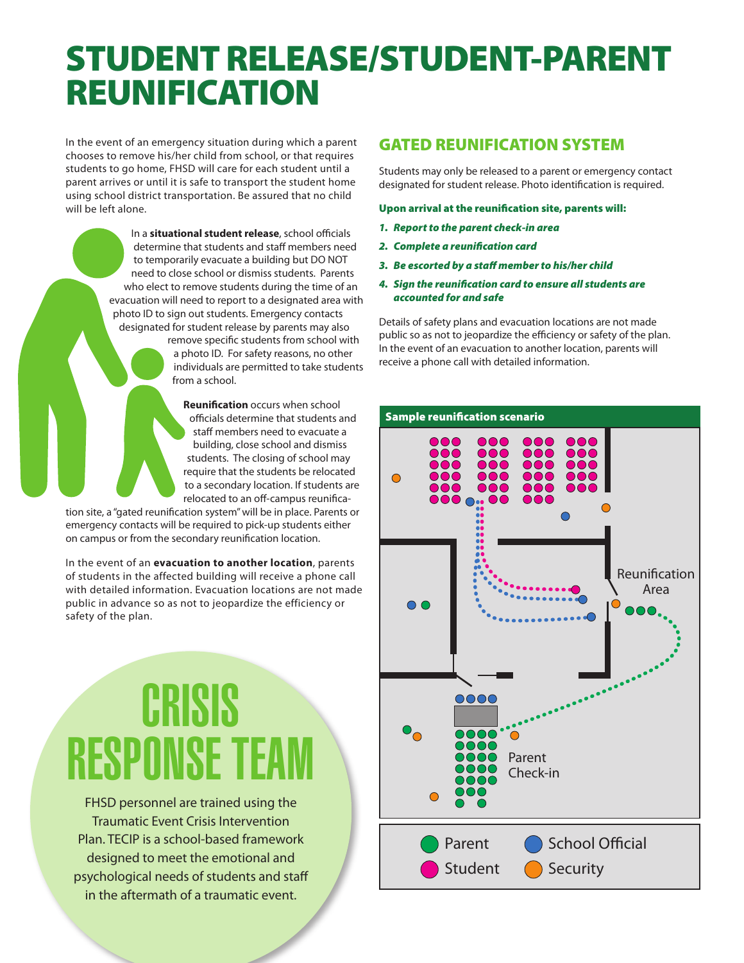## STUDENT RELEASE/STUDENT-PARENT REUNIFICATION

In the event of an emergency situation during which a parent chooses to remove his/her child from school, or that requires students to go home, FHSD will care for each student until a parent arrives or until it is safe to transport the student home using school district transportation. Be assured that no child will be left alone.

> In a **situational student release**, school officials determine that students and staff members need to temporarily evacuate a building but DO NOT need to close school or dismiss students. Parents who elect to remove students during the time of an evacuation will need to report to a designated area with photo ID to sign out students. Emergency contacts designated for student release by parents may also remove specific students from school with

a photo ID. For safety reasons, no other individuals are permitted to take students from a school.

**Reunification** occurs when school officials determine that students and staff members need to evacuate a building, close school and dismiss students. The closing of school may require that the students be relocated to a secondary location. If students are relocated to an off-campus reunifica-

tion site, a "gated reunification system" will be in place. Parents or emergency contacts will be required to pick-up students either on campus or from the secondary reunification location.

In the event of an **evacuation to another location**, parents of students in the affected building will receive a phone call with detailed information. Evacuation locations are not made public in advance so as not to jeopardize the efficiency or safety of the plan.

# **CRISIS** RESPINSE T

FHSD personnel are trained using the Traumatic Event Crisis Intervention Plan. TECIP is a school-based framework designed to meet the emotional and psychological needs of students and staff in the aftermath of a traumatic event.

### GATED REUNIFICATION SYSTEM

Students may only be released to a parent or emergency contact designated for student release. Photo identification is required.

#### Upon arrival at the reunification site, parents will:

- *1. Report to the parent check-in area*
- *2. Complete a reunification card*
- *3. Be escorted by a staff member to his/her child*
- *4. Sign the reunification card to ensure all students are accounted for and safe*

Details of safety plans and evacuation locations are not made public so as not to jeopardize the efficiency or safety of the plan. In the event of an evacuation to another location, parents will receive a phone call with detailed information.